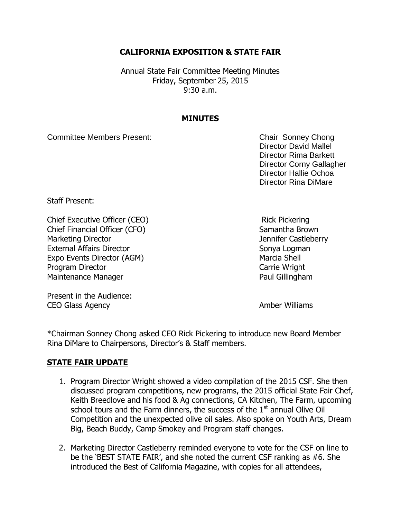# **CALIFORNIA EXPOSITION & STATE FAIR**

Annual State Fair Committee Meeting Minutes Friday, September 25, 2015 9:30 a.m.

### **MINUTES**

Committee Members Present: Committee Members Present:

Director David Mallel Director Rima Barkett Director Corny Gallagher Director Hallie Ochoa Director Rina DiMare

Staff Present:

Chief Executive Officer (CEO) Rick Pickering Chief Financial Officer (CFO) Samantha Brown Marketing Director **Marketing Director** Marketing Director **Jennifer Castleberry** External Affairs Director Sonya Logman Expo Events Director (AGM) Marcia Shell Program Director **Carrie Wright** Carrie Wright Maintenance Manager **Paul Gillingham** 

Present in the Audience: CEO Glass Agency **Amber Williams** 

\*Chairman Sonney Chong asked CEO Rick Pickering to introduce new Board Member Rina DiMare to Chairpersons, Director's & Staff members.

## **STATE FAIR UPDATE**

- 1. Program Director Wright showed a video compilation of the 2015 CSF. She then discussed program competitions, new programs, the 2015 official State Fair Chef, Keith Breedlove and his food & Ag connections, CA Kitchen, The Farm, upcoming school tours and the Farm dinners, the success of the  $1<sup>st</sup>$  annual Olive Oil Competition and the unexpected olive oil sales. Also spoke on Youth Arts, Dream Big, Beach Buddy, Camp Smokey and Program staff changes.
- 2. Marketing Director Castleberry reminded everyone to vote for the CSF on line to be the 'BEST STATE FAIR', and she noted the current CSF ranking as #6. She introduced the Best of California Magazine, with copies for all attendees,